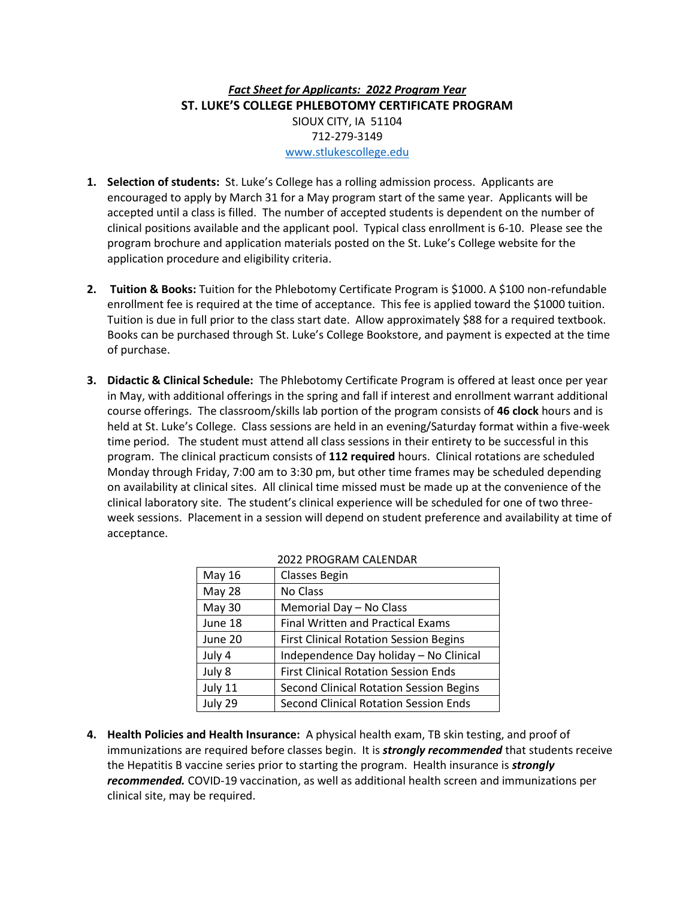# *Fact Sheet for Applicants: 2022 Program Year* **ST. LUKE'S COLLEGE PHLEBOTOMY CERTIFICATE PROGRAM** SIOUX CITY, IA 51104 712-279-3149 [www.stlukescollege.edu](http://www.stlukescollege.edu/)

- **1. Selection of students:** St. Luke's College has a rolling admission process. Applicants are encouraged to apply by March 31 for a May program start of the same year. Applicants will be accepted until a class is filled. The number of accepted students is dependent on the number of clinical positions available and the applicant pool. Typical class enrollment is 6-10. Please see the program brochure and application materials posted on the St. Luke's College website for the application procedure and eligibility criteria.
- **2. Tuition & Books:** Tuition for the Phlebotomy Certificate Program is \$1000. A \$100 non-refundable enrollment fee is required at the time of acceptance. This fee is applied toward the \$1000 tuition. Tuition is due in full prior to the class start date. Allow approximately \$88 for a required textbook. Books can be purchased through St. Luke's College Bookstore, and payment is expected at the time of purchase.
- **3. Didactic & Clinical Schedule:** The Phlebotomy Certificate Program is offered at least once per year in May, with additional offerings in the spring and fall if interest and enrollment warrant additional course offerings. The classroom/skills lab portion of the program consists of **46 clock** hours and is held at St. Luke's College. Class sessions are held in an evening/Saturday format within a five-week time period. The student must attend all class sessions in their entirety to be successful in this program. The clinical practicum consists of **112 required** hours. Clinical rotations are scheduled Monday through Friday, 7:00 am to 3:30 pm, but other time frames may be scheduled depending on availability at clinical sites. All clinical time missed must be made up at the convenience of the clinical laboratory site. The student's clinical experience will be scheduled for one of two threeweek sessions. Placement in a session will depend on student preference and availability at time of acceptance.

| May 16        | <b>Classes Begin</b>                          |
|---------------|-----------------------------------------------|
| <b>May 28</b> | No Class                                      |
| May 30        | Memorial Day - No Class                       |
| June 18       | <b>Final Written and Practical Exams</b>      |
| June 20       | <b>First Clinical Rotation Session Begins</b> |
| July 4        | Independence Day holiday - No Clinical        |
| July 8        | <b>First Clinical Rotation Session Ends</b>   |
| July 11       | Second Clinical Rotation Session Begins       |
| July 29       | Second Clinical Rotation Session Ends         |

### 2022 PROGRAM CALENDAR

**4. Health Policies and Health Insurance:** A physical health exam, TB skin testing, and proof of immunizations are required before classes begin. It is *strongly recommended* that students receive the Hepatitis B vaccine series prior to starting the program. Health insurance is *strongly recommended.* COVID-19 vaccination, as well as additional health screen and immunizations per clinical site, may be required.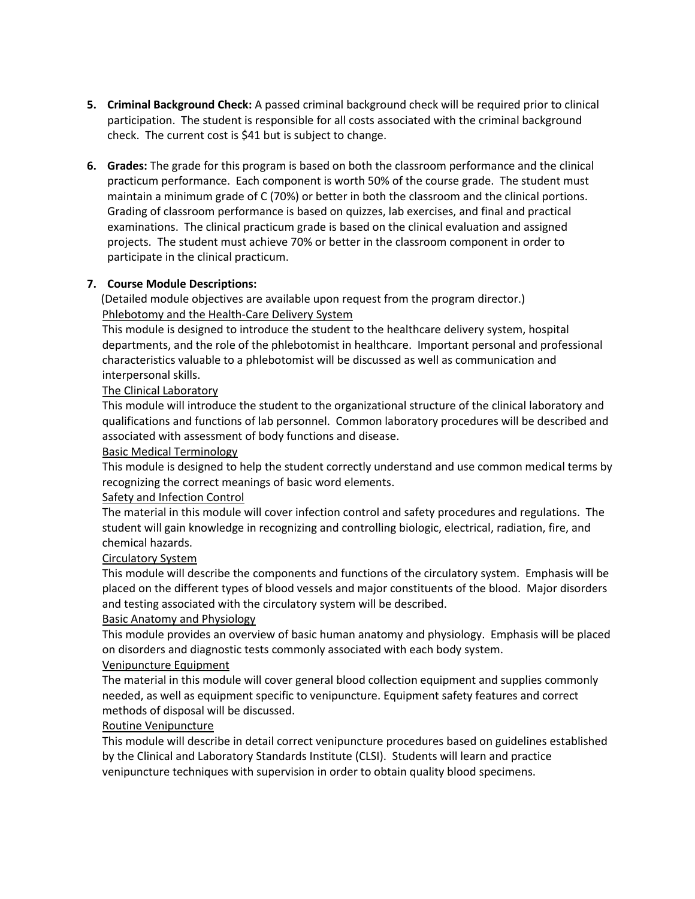- **5. Criminal Background Check:** A passed criminal background check will be required prior to clinical participation. The student is responsible for all costs associated with the criminal background check. The current cost is \$41 but is subject to change.
- **6. Grades:** The grade for this program is based on both the classroom performance and the clinical practicum performance. Each component is worth 50% of the course grade. The student must maintain a minimum grade of C (70%) or better in both the classroom and the clinical portions. Grading of classroom performance is based on quizzes, lab exercises, and final and practical examinations. The clinical practicum grade is based on the clinical evaluation and assigned projects. The student must achieve 70% or better in the classroom component in order to participate in the clinical practicum.

### **7. Course Module Descriptions:**

(Detailed module objectives are available upon request from the program director.) Phlebotomy and the Health-Care Delivery System

This module is designed to introduce the student to the healthcare delivery system, hospital departments, and the role of the phlebotomist in healthcare. Important personal and professional characteristics valuable to a phlebotomist will be discussed as well as communication and interpersonal skills.

### The Clinical Laboratory

This module will introduce the student to the organizational structure of the clinical laboratory and qualifications and functions of lab personnel. Common laboratory procedures will be described and associated with assessment of body functions and disease.

### Basic Medical Terminology

This module is designed to help the student correctly understand and use common medical terms by recognizing the correct meanings of basic word elements.

### Safety and Infection Control

The material in this module will cover infection control and safety procedures and regulations. The student will gain knowledge in recognizing and controlling biologic, electrical, radiation, fire, and chemical hazards.

### Circulatory System

This module will describe the components and functions of the circulatory system. Emphasis will be placed on the different types of blood vessels and major constituents of the blood. Major disorders and testing associated with the circulatory system will be described.

### Basic Anatomy and Physiology

This module provides an overview of basic human anatomy and physiology. Emphasis will be placed on disorders and diagnostic tests commonly associated with each body system.

## Venipuncture Equipment

The material in this module will cover general blood collection equipment and supplies commonly needed, as well as equipment specific to venipuncture. Equipment safety features and correct methods of disposal will be discussed.

## Routine Venipuncture

This module will describe in detail correct venipuncture procedures based on guidelines established by the Clinical and Laboratory Standards Institute (CLSI). Students will learn and practice venipuncture techniques with supervision in order to obtain quality blood specimens.